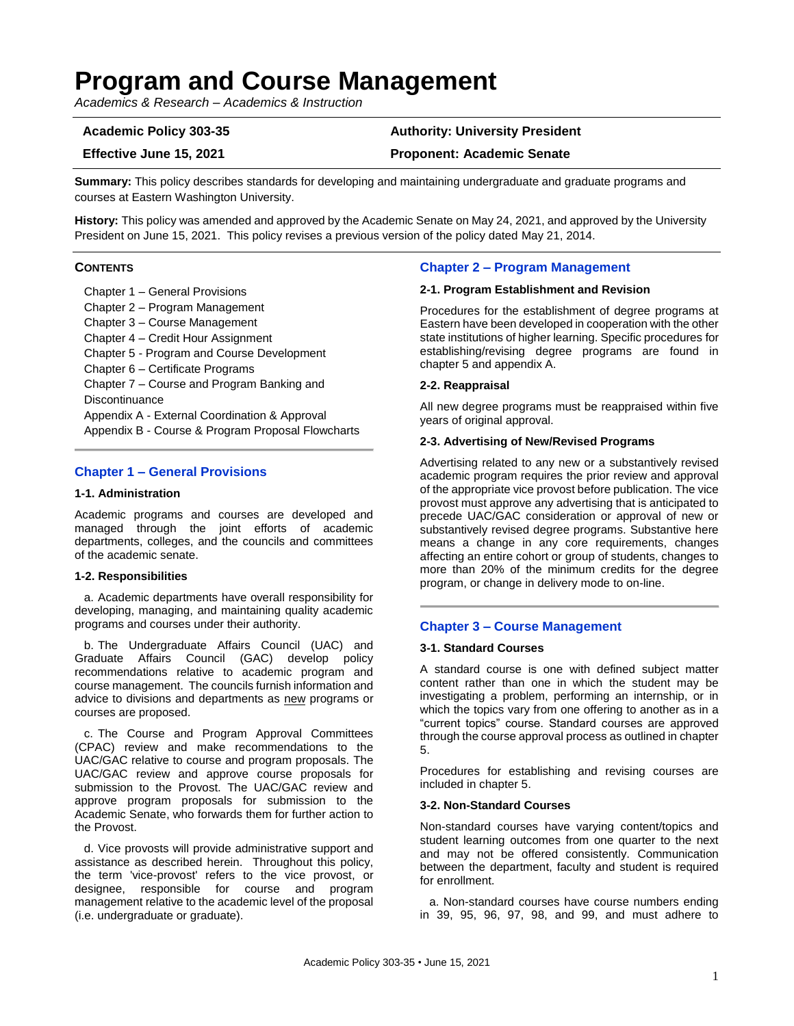# **Program and Course Management**

*Academics & Research – Academics & Instruction*

# **Academic Policy 303-35 Authority: University President**

**Effective June 15, 2021 Proponent: Academic Senate**

**Summary:** This policy describes standards for developing and maintaining undergraduate and graduate programs and courses at Eastern Washington University.

**History:** This policy was amended and approved by the Academic Senate on May 24, 2021, and approved by the University President on June 15, 2021. This policy revises a previous version of the policy dated May 21, 2014.

### **CONTENTS**

Chapter 1 – General Provisions

Chapter 2 – Program Management Chapter 3 – Course Management Chapter 4 – Credit Hour Assignment Chapter 5 - Program and Course Development Chapter 6 – Certificate Programs Chapter 7 – Course and Program Banking and **Discontinuance** Appendix A - External Coordination & Approval Appendix B - Course & Program Proposal Flowcharts

# **Chapter 1 – General Provisions**

#### **1-1. Administration**

Academic programs and courses are developed and managed through the joint efforts of academic departments, colleges, and the councils and committees of the academic senate.

#### **1-2. Responsibilities**

a. Academic departments have overall responsibility for developing, managing, and maintaining quality academic programs and courses under their authority.

b. The Undergraduate Affairs Council (UAC) and Graduate Affairs Council (GAC) develop policy recommendations relative to academic program and course management. The councils furnish information and advice to divisions and departments as new programs or courses are proposed.

c. The Course and Program Approval Committees (CPAC) review and make recommendations to the UAC/GAC relative to course and program proposals. The UAC/GAC review and approve course proposals for submission to the Provost. The UAC/GAC review and approve program proposals for submission to the Academic Senate, who forwards them for further action to the Provost.

d. Vice provosts will provide administrative support and assistance as described herein. Throughout this policy, the term 'vice-provost' refers to the vice provost, or designee, responsible for course and program management relative to the academic level of the proposal (i.e. undergraduate or graduate).

# **Chapter 2 – Program Management**

#### **2-1. Program Establishment and Revision**

Procedures for the establishment of degree programs at Eastern have been developed in cooperation with the other state institutions of higher learning. Specific procedures for establishing/revising degree programs are found in chapter 5 and appendix A.

#### **2-2. Reappraisal**

All new degree programs must be reappraised within five years of original approval.

#### **2-3. Advertising of New/Revised Programs**

Advertising related to any new or a substantively revised academic program requires the prior review and approval of the appropriate vice provost before publication. The vice provost must approve any advertising that is anticipated to precede UAC/GAC consideration or approval of new or substantively revised degree programs. Substantive here means a change in any core requirements, changes affecting an entire cohort or group of students, changes to more than 20% of the minimum credits for the degree program, or change in delivery mode to on-line.

# **Chapter 3 – Course Management**

#### **3-1. Standard Courses**

A standard course is one with defined subject matter content rather than one in which the student may be investigating a problem, performing an internship, or in which the topics vary from one offering to another as in a "current topics" course. Standard courses are approved through the course approval process as outlined in chapter 5.

Procedures for establishing and revising courses are included in chapter 5.

# **3-2. Non-Standard Courses**

Non-standard courses have varying content/topics and student learning outcomes from one quarter to the next and may not be offered consistently. Communication between the department, faculty and student is required for enrollment.

a. Non-standard courses have course numbers ending in 39, 95, 96, 97, 98, and 99, and must adhere to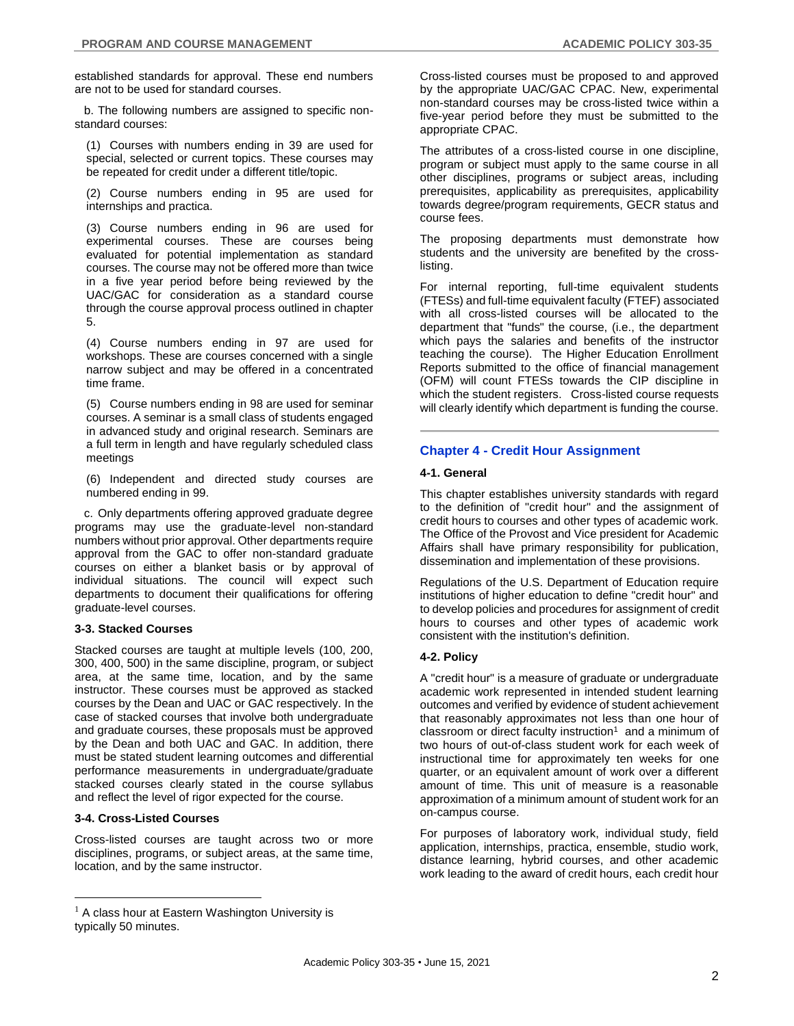established standards for approval. These end numbers are not to be used for standard courses.

b. The following numbers are assigned to specific nonstandard courses:

(1) Courses with numbers ending in 39 are used for special, selected or current topics. These courses may be repeated for credit under a different title/topic.

(2) Course numbers ending in 95 are used for internships and practica.

(3) Course numbers ending in 96 are used for experimental courses. These are courses being evaluated for potential implementation as standard courses. The course may not be offered more than twice in a five year period before being reviewed by the UAC/GAC for consideration as a standard course through the course approval process outlined in chapter 5.

(4) Course numbers ending in 97 are used for workshops. These are courses concerned with a single narrow subject and may be offered in a concentrated time frame.

(5) Course numbers ending in 98 are used for seminar courses. A seminar is a small class of students engaged in advanced study and original research. Seminars are a full term in length and have regularly scheduled class meetings

(6) Independent and directed study courses are numbered ending in 99.

c. Only departments offering approved graduate degree programs may use the graduate-level non-standard numbers without prior approval. Other departments require approval from the GAC to offer non-standard graduate courses on either a blanket basis or by approval of individual situations. The council will expect such departments to document their qualifications for offering graduate-level courses.

### **3-3. Stacked Courses**

Stacked courses are taught at multiple levels (100, 200, 300, 400, 500) in the same discipline, program, or subject area, at the same time, location, and by the same instructor. These courses must be approved as stacked courses by the Dean and UAC or GAC respectively. In the case of stacked courses that involve both undergraduate and graduate courses, these proposals must be approved by the Dean and both UAC and GAC. In addition, there must be stated student learning outcomes and differential performance measurements in undergraduate/graduate stacked courses clearly stated in the course syllabus and reflect the level of rigor expected for the course.

# **3-4. Cross-Listed Courses**

 $\overline{a}$ 

Cross-listed courses are taught across two or more disciplines, programs, or subject areas, at the same time, location, and by the same instructor.

Cross-listed courses must be proposed to and approved by the appropriate UAC/GAC CPAC. New, experimental non-standard courses may be cross-listed twice within a five-year period before they must be submitted to the appropriate CPAC.

The attributes of a cross-listed course in one discipline, program or subject must apply to the same course in all other disciplines, programs or subject areas, including prerequisites, applicability as prerequisites, applicability towards degree/program requirements, GECR status and course fees.

The proposing departments must demonstrate how students and the university are benefited by the crosslisting.

For internal reporting, full-time equivalent students (FTESs) and full-time equivalent faculty (FTEF) associated with all cross-listed courses will be allocated to the department that "funds" the course, (i.e., the department which pays the salaries and benefits of the instructor teaching the course). The Higher Education Enrollment Reports submitted to the office of financial management (OFM) will count FTESs towards the CIP discipline in which the student registers. Cross-listed course requests will clearly identify which department is funding the course.

# **Chapter 4 - Credit Hour Assignment**

### **4-1. General**

This chapter establishes university standards with regard to the definition of "credit hour" and the assignment of credit hours to courses and other types of academic work. The Office of the Provost and Vice president for Academic Affairs shall have primary responsibility for publication, dissemination and implementation of these provisions.

Regulations of the U.S. Department of Education require institutions of higher education to define "credit hour" and to develop policies and procedures for assignment of credit hours to courses and other types of academic work consistent with the institution's definition.

### **4-2. Policy**

A "credit hour" is a measure of graduate or undergraduate academic work represented in intended student learning outcomes and verified by evidence of student achievement that reasonably approximates not less than one hour of classroom or direct faculty instruction<sup>1</sup> and a minimum of two hours of out-of-class student work for each week of instructional time for approximately ten weeks for one quarter, or an equivalent amount of work over a different amount of time. This unit of measure is a reasonable approximation of a minimum amount of student work for an on-campus course.

For purposes of laboratory work, individual study, field application, internships, practica, ensemble, studio work, distance learning, hybrid courses, and other academic work leading to the award of credit hours, each credit hour

 $<sup>1</sup>$  A class hour at Eastern Washington University is</sup> typically 50 minutes.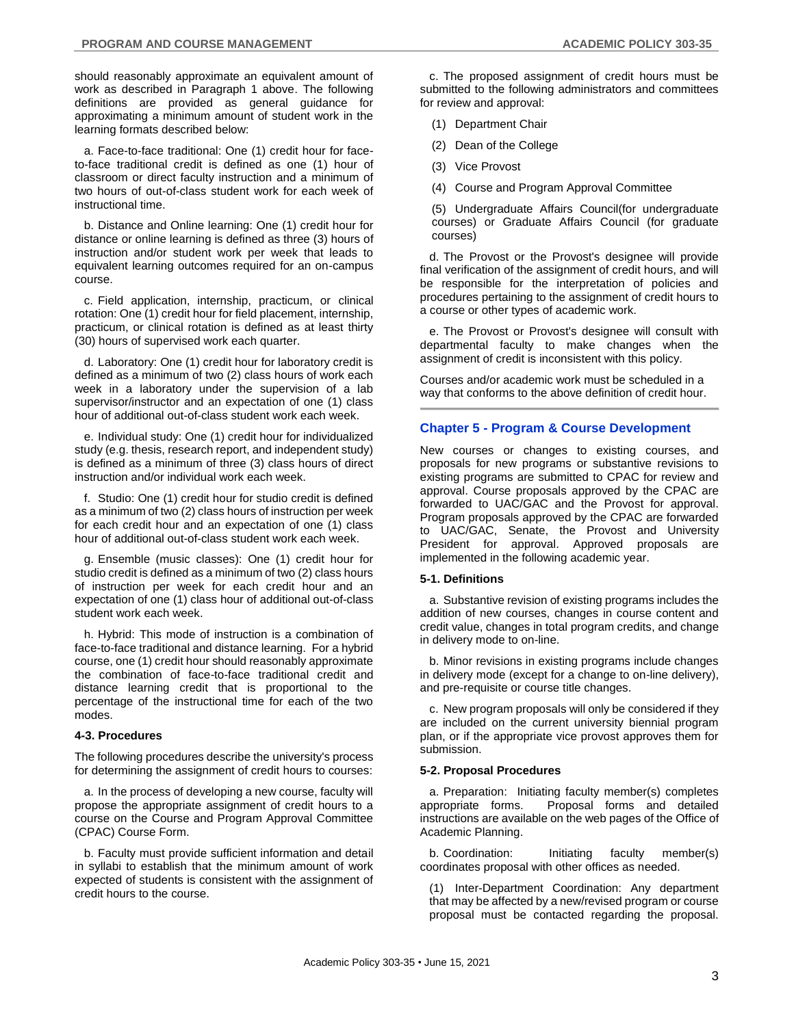should reasonably approximate an equivalent amount of work as described in Paragraph 1 above. The following definitions are provided as general guidance for approximating a minimum amount of student work in the learning formats described below:

a. Face-to-face traditional: One (1) credit hour for faceto-face traditional credit is defined as one (1) hour of classroom or direct faculty instruction and a minimum of two hours of out-of-class student work for each week of instructional time.

b. Distance and Online learning: One (1) credit hour for distance or online learning is defined as three (3) hours of instruction and/or student work per week that leads to equivalent learning outcomes required for an on-campus course.

c. Field application, internship, practicum, or clinical rotation: One (1) credit hour for field placement, internship, practicum, or clinical rotation is defined as at least thirty (30) hours of supervised work each quarter.

d. Laboratory: One (1) credit hour for laboratory credit is defined as a minimum of two (2) class hours of work each week in a laboratory under the supervision of a lab supervisor/instructor and an expectation of one (1) class hour of additional out-of-class student work each week.

e. Individual study: One (1) credit hour for individualized study (e.g. thesis, research report, and independent study) is defined as a minimum of three (3) class hours of direct instruction and/or individual work each week.

f. Studio: One (1) credit hour for studio credit is defined as a minimum of two (2) class hours of instruction per week for each credit hour and an expectation of one (1) class hour of additional out-of-class student work each week.

g. Ensemble (music classes): One (1) credit hour for studio credit is defined as a minimum of two (2) class hours of instruction per week for each credit hour and an expectation of one (1) class hour of additional out-of-class student work each week.

h. Hybrid: This mode of instruction is a combination of face-to-face traditional and distance learning. For a hybrid course, one (1) credit hour should reasonably approximate the combination of face-to-face traditional credit and distance learning credit that is proportional to the percentage of the instructional time for each of the two modes.

#### **4-3. Procedures**

The following procedures describe the university's process for determining the assignment of credit hours to courses:

a. In the process of developing a new course, faculty will propose the appropriate assignment of credit hours to a course on the Course and Program Approval Committee (CPAC) Course Form.

b. Faculty must provide sufficient information and detail in syllabi to establish that the minimum amount of work expected of students is consistent with the assignment of credit hours to the course.

c. The proposed assignment of credit hours must be submitted to the following administrators and committees for review and approval:

- (1) Department Chair
- (2) Dean of the College
- (3) Vice Provost
- (4) Course and Program Approval Committee

(5) Undergraduate Affairs Council(for undergraduate courses) or Graduate Affairs Council (for graduate courses)

d. The Provost or the Provost's designee will provide final verification of the assignment of credit hours, and will be responsible for the interpretation of policies and procedures pertaining to the assignment of credit hours to a course or other types of academic work.

e. The Provost or Provost's designee will consult with departmental faculty to make changes when the assignment of credit is inconsistent with this policy.

Courses and/or academic work must be scheduled in a way that conforms to the above definition of credit hour.

### **Chapter 5 - Program & Course Development**

New courses or changes to existing courses, and proposals for new programs or substantive revisions to existing programs are submitted to CPAC for review and approval. Course proposals approved by the CPAC are forwarded to UAC/GAC and the Provost for approval. Program proposals approved by the CPAC are forwarded to UAC/GAC, Senate, the Provost and University President for approval. Approved proposals are implemented in the following academic year.

#### **5-1. Definitions**

a. Substantive revision of existing programs includes the addition of new courses, changes in course content and credit value, changes in total program credits, and change in delivery mode to on-line.

b. Minor revisions in existing programs include changes in delivery mode (except for a change to on-line delivery), and pre-requisite or course title changes.

c. New program proposals will only be considered if they are included on the current university biennial program plan, or if the appropriate vice provost approves them for submission.

#### **5-2. Proposal Procedures**

a. Preparation: Initiating faculty member(s) completes appropriate forms. Proposal forms and detailed instructions are available on the web pages of the Office of Academic Planning.

b. Coordination: Initiating faculty member(s) coordinates proposal with other offices as needed.

(1) Inter-Department Coordination: Any department that may be affected by a new/revised program or course proposal must be contacted regarding the proposal.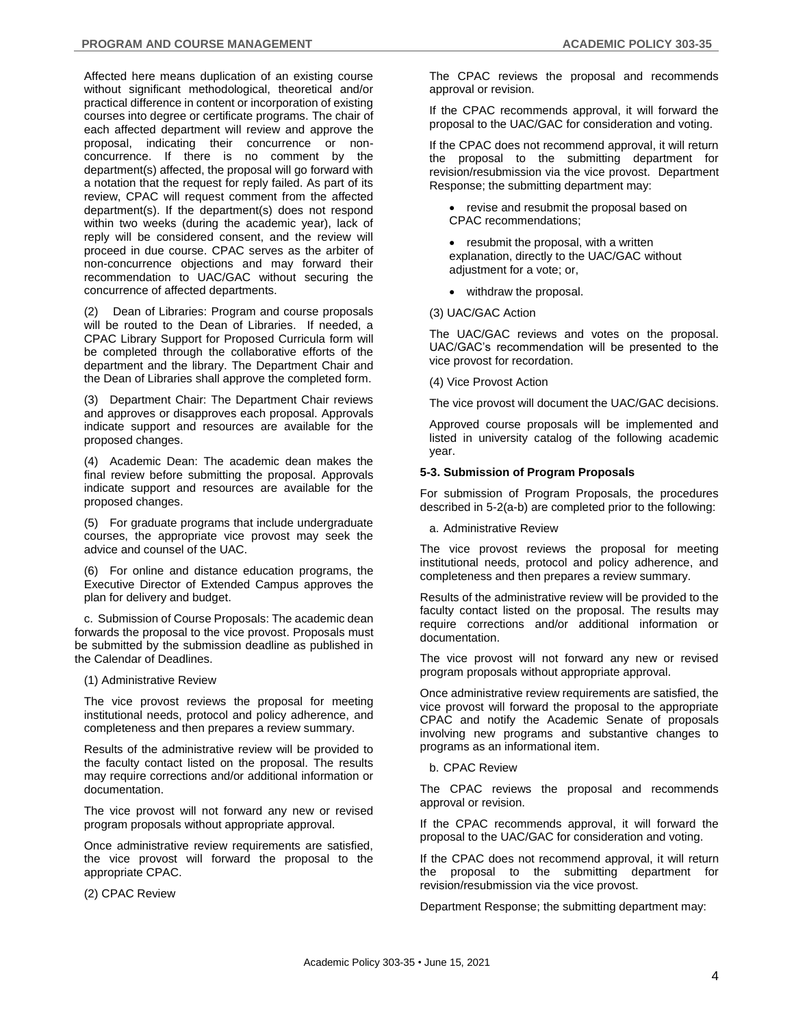Affected here means duplication of an existing course without significant methodological, theoretical and/or practical difference in content or incorporation of existing courses into degree or certificate programs. The chair of each affected department will review and approve the proposal, indicating their concurrence or nonconcurrence. If there is no comment by the department(s) affected, the proposal will go forward with a notation that the request for reply failed. As part of its review, CPAC will request comment from the affected department(s). If the department(s) does not respond within two weeks (during the academic year), lack of reply will be considered consent, and the review will proceed in due course. CPAC serves as the arbiter of non-concurrence objections and may forward their recommendation to UAC/GAC without securing the concurrence of affected departments.

(2) Dean of Libraries: Program and course proposals will be routed to the Dean of Libraries. If needed, a CPAC Library Support for Proposed Curricula form will be completed through the collaborative efforts of the department and the library. The Department Chair and the Dean of Libraries shall approve the completed form.

(3) Department Chair: The Department Chair reviews and approves or disapproves each proposal. Approvals indicate support and resources are available for the proposed changes.

(4) Academic Dean: The academic dean makes the final review before submitting the proposal. Approvals indicate support and resources are available for the proposed changes.

(5) For graduate programs that include undergraduate courses, the appropriate vice provost may seek the advice and counsel of the UAC.

(6) For online and distance education programs, the Executive Director of Extended Campus approves the plan for delivery and budget.

c. Submission of Course Proposals: The academic dean forwards the proposal to the vice provost. Proposals must be submitted by the submission deadline as published in the Calendar of Deadlines.

(1) Administrative Review

The vice provost reviews the proposal for meeting institutional needs, protocol and policy adherence, and completeness and then prepares a review summary.

Results of the administrative review will be provided to the faculty contact listed on the proposal. The results may require corrections and/or additional information or documentation.

The vice provost will not forward any new or revised program proposals without appropriate approval.

Once administrative review requirements are satisfied, the vice provost will forward the proposal to the appropriate CPAC.

(2) CPAC Review

The CPAC reviews the proposal and recommends approval or revision.

If the CPAC recommends approval, it will forward the proposal to the UAC/GAC for consideration and voting.

If the CPAC does not recommend approval, it will return the proposal to the submitting department for revision/resubmission via the vice provost. Department Response; the submitting department may:

• revise and resubmit the proposal based on CPAC recommendations;

• resubmit the proposal, with a written explanation, directly to the UAC/GAC without adjustment for a vote; or,

• withdraw the proposal.

(3) UAC/GAC Action

The UAC/GAC reviews and votes on the proposal. UAC/GAC's recommendation will be presented to the vice provost for recordation.

(4) Vice Provost Action

The vice provost will document the UAC/GAC decisions.

Approved course proposals will be implemented and listed in university catalog of the following academic year.

#### **5-3. Submission of Program Proposals**

For submission of Program Proposals, the procedures described in 5-2(a-b) are completed prior to the following:

a. Administrative Review

The vice provost reviews the proposal for meeting institutional needs, protocol and policy adherence, and completeness and then prepares a review summary.

Results of the administrative review will be provided to the faculty contact listed on the proposal. The results may require corrections and/or additional information or documentation.

The vice provost will not forward any new or revised program proposals without appropriate approval.

Once administrative review requirements are satisfied, the vice provost will forward the proposal to the appropriate CPAC and notify the Academic Senate of proposals involving new programs and substantive changes to programs as an informational item.

b. CPAC Review

The CPAC reviews the proposal and recommends approval or revision.

If the CPAC recommends approval, it will forward the proposal to the UAC/GAC for consideration and voting.

If the CPAC does not recommend approval, it will return the proposal to the submitting department for revision/resubmission via the vice provost.

Department Response; the submitting department may: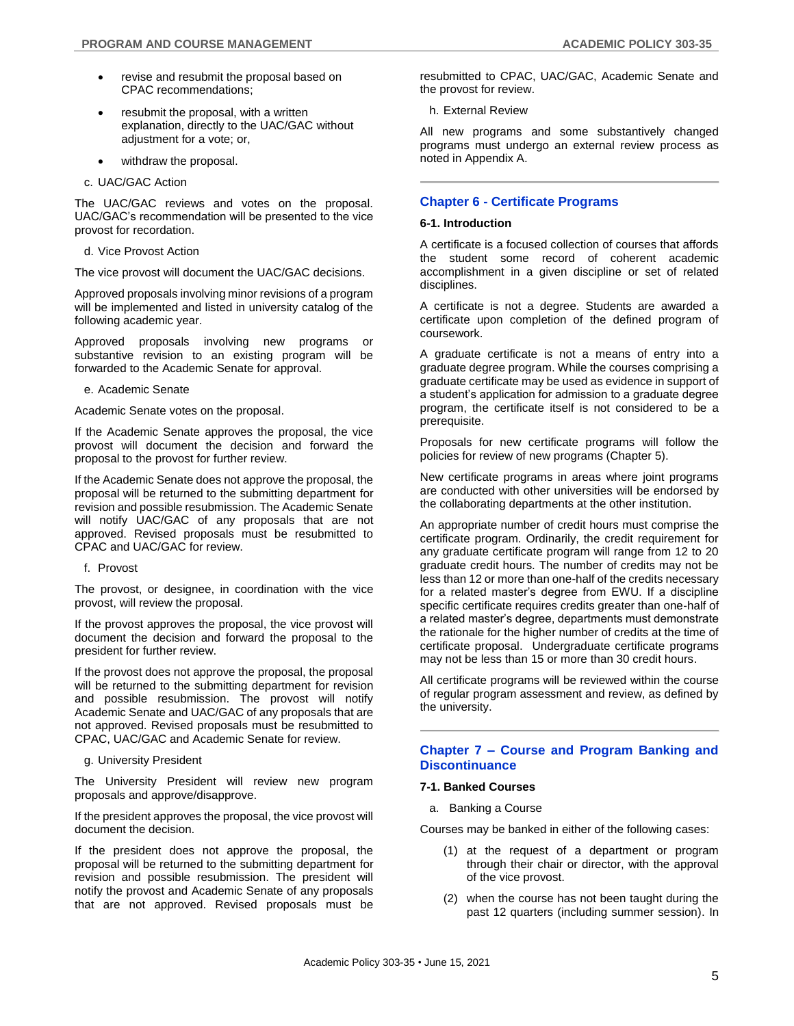- revise and resubmit the proposal based on CPAC recommendations;
- resubmit the proposal, with a written explanation, directly to the UAC/GAC without adjustment for a vote; or,
- withdraw the proposal.
- c. UAC/GAC Action

The UAC/GAC reviews and votes on the proposal. UAC/GAC's recommendation will be presented to the vice provost for recordation.

d. Vice Provost Action

The vice provost will document the UAC/GAC decisions.

Approved proposals involving minor revisions of a program will be implemented and listed in university catalog of the following academic year.

Approved proposals involving new programs or substantive revision to an existing program will be forwarded to the Academic Senate for approval.

e. Academic Senate

Academic Senate votes on the proposal.

If the Academic Senate approves the proposal, the vice provost will document the decision and forward the proposal to the provost for further review.

If the Academic Senate does not approve the proposal, the proposal will be returned to the submitting department for revision and possible resubmission. The Academic Senate will notify UAC/GAC of any proposals that are not approved. Revised proposals must be resubmitted to CPAC and UAC/GAC for review.

f. Provost

The provost, or designee, in coordination with the vice provost, will review the proposal.

If the provost approves the proposal, the vice provost will document the decision and forward the proposal to the president for further review.

If the provost does not approve the proposal, the proposal will be returned to the submitting department for revision and possible resubmission. The provost will notify Academic Senate and UAC/GAC of any proposals that are not approved. Revised proposals must be resubmitted to CPAC, UAC/GAC and Academic Senate for review.

g. University President

The University President will review new program proposals and approve/disapprove.

If the president approves the proposal, the vice provost will document the decision.

If the president does not approve the proposal, the proposal will be returned to the submitting department for revision and possible resubmission. The president will notify the provost and Academic Senate of any proposals that are not approved. Revised proposals must be

resubmitted to CPAC, UAC/GAC, Academic Senate and the provost for review.

h. External Review

All new programs and some substantively changed programs must undergo an external review process as noted in Appendix A.

# **Chapter 6 - Certificate Programs**

#### **6-1. Introduction**

A certificate is a focused collection of courses that affords the student some record of coherent academic accomplishment in a given discipline or set of related disciplines.

A certificate is not a degree. Students are awarded a certificate upon completion of the defined program of coursework.

A graduate certificate is not a means of entry into a graduate degree program. While the courses comprising a graduate certificate may be used as evidence in support of a student's application for admission to a graduate degree program, the certificate itself is not considered to be a prerequisite.

Proposals for new certificate programs will follow the policies for review of new programs (Chapter 5).

New certificate programs in areas where joint programs are conducted with other universities will be endorsed by the collaborating departments at the other institution.

An appropriate number of credit hours must comprise the certificate program. Ordinarily, the credit requirement for any graduate certificate program will range from 12 to 20 graduate credit hours. The number of credits may not be less than 12 or more than one-half of the credits necessary for a related master's degree from EWU. If a discipline specific certificate requires credits greater than one-half of a related master's degree, departments must demonstrate the rationale for the higher number of credits at the time of certificate proposal. Undergraduate certificate programs may not be less than 15 or more than 30 credit hours.

All certificate programs will be reviewed within the course of regular program assessment and review, as defined by the university.

### **Chapter 7 – Course and Program Banking and Discontinuance**

#### **7-1. Banked Courses**

a. Banking a Course

Courses may be banked in either of the following cases:

- (1) at the request of a department or program through their chair or director, with the approval of the vice provost.
- (2) when the course has not been taught during the past 12 quarters (including summer session). In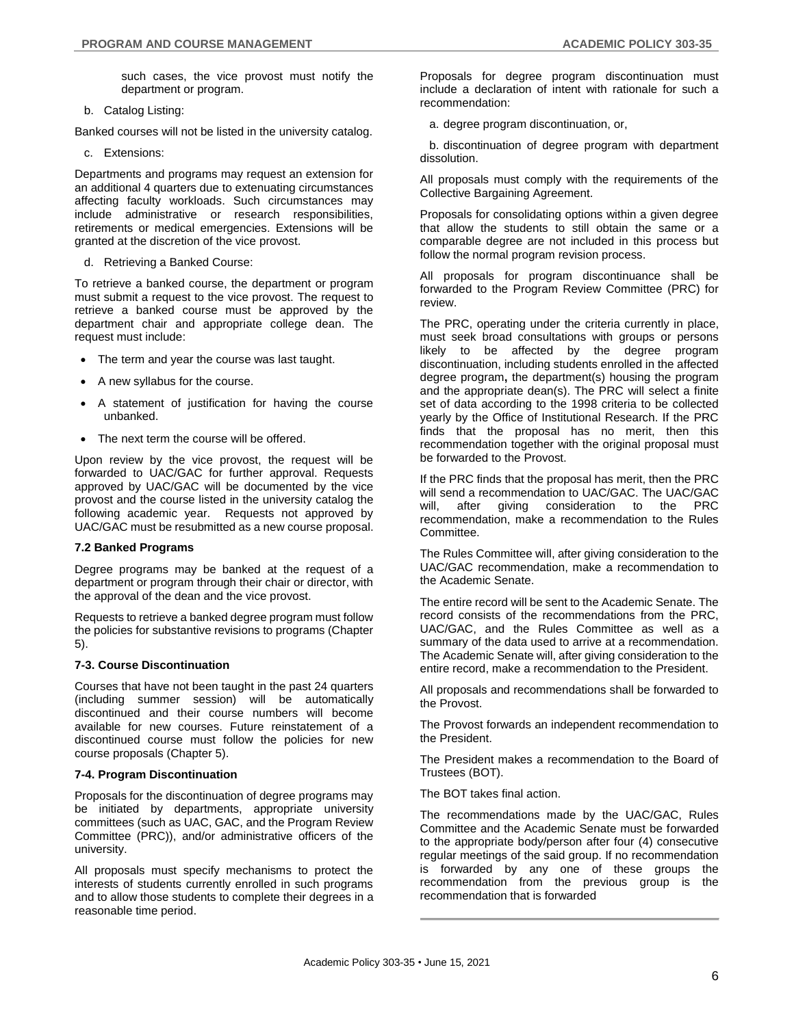such cases, the vice provost must notify the department or program.

b. Catalog Listing:

Banked courses will not be listed in the university catalog.

c. Extensions:

Departments and programs may request an extension for an additional 4 quarters due to extenuating circumstances affecting faculty workloads. Such circumstances may include administrative or research responsibilities, retirements or medical emergencies. Extensions will be granted at the discretion of the vice provost.

d. Retrieving a Banked Course:

To retrieve a banked course, the department or program must submit a request to the vice provost. The request to retrieve a banked course must be approved by the department chair and appropriate college dean. The request must include:

- The term and year the course was last taught.
- A new syllabus for the course.
- A statement of justification for having the course unbanked.
- The next term the course will be offered.

Upon review by the vice provost, the request will be forwarded to UAC/GAC for further approval. Requests approved by UAC/GAC will be documented by the vice provost and the course listed in the university catalog the following academic year. Requests not approved by UAC/GAC must be resubmitted as a new course proposal.

### **7.2 Banked Programs**

Degree programs may be banked at the request of a department or program through their chair or director, with the approval of the dean and the vice provost.

Requests to retrieve a banked degree program must follow the policies for substantive revisions to programs (Chapter 5).

# **7-3. Course Discontinuation**

Courses that have not been taught in the past 24 quarters (including summer session) will be automatically discontinued and their course numbers will become available for new courses. Future reinstatement of a discontinued course must follow the policies for new course proposals (Chapter 5).

#### **7-4. Program Discontinuation**

Proposals for the discontinuation of degree programs may be initiated by departments, appropriate university committees (such as UAC, GAC, and the Program Review Committee (PRC)), and/or administrative officers of the university.

All proposals must specify mechanisms to protect the interests of students currently enrolled in such programs and to allow those students to complete their degrees in a reasonable time period.

Proposals for degree program discontinuation must include a declaration of intent with rationale for such a recommendation:

a. degree program discontinuation, or,

b. discontinuation of degree program with department dissolution.

All proposals must comply with the requirements of the Collective Bargaining Agreement.

Proposals for consolidating options within a given degree that allow the students to still obtain the same or a comparable degree are not included in this process but follow the normal program revision process.

All proposals for program discontinuance shall be forwarded to the Program Review Committee (PRC) for review.

The PRC, operating under the criteria currently in place, must seek broad consultations with groups or persons likely to be affected by the degree program discontinuation, including students enrolled in the affected degree program**,** the department(s) housing the program and the appropriate dean(s). The PRC will select a finite set of data according to the 1998 criteria to be collected yearly by the Office of Institutional Research. If the PRC finds that the proposal has no merit, then this recommendation together with the original proposal must be forwarded to the Provost.

If the PRC finds that the proposal has merit, then the PRC will send a recommendation to UAC/GAC. The UAC/GAC will, after giving consideration to the PRC recommendation, make a recommendation to the Rules Committee.

The Rules Committee will, after giving consideration to the UAC/GAC recommendation, make a recommendation to the Academic Senate.

The entire record will be sent to the Academic Senate. The record consists of the recommendations from the PRC, UAC/GAC, and the Rules Committee as well as a summary of the data used to arrive at a recommendation. The Academic Senate will, after giving consideration to the entire record, make a recommendation to the President.

All proposals and recommendations shall be forwarded to the Provost.

The Provost forwards an independent recommendation to the President.

The President makes a recommendation to the Board of Trustees (BOT).

The BOT takes final action.

The recommendations made by the UAC/GAC, Rules Committee and the Academic Senate must be forwarded to the appropriate body/person after four (4) consecutive regular meetings of the said group. If no recommendation is forwarded by any one of these groups the recommendation from the previous group is the recommendation that is forwarded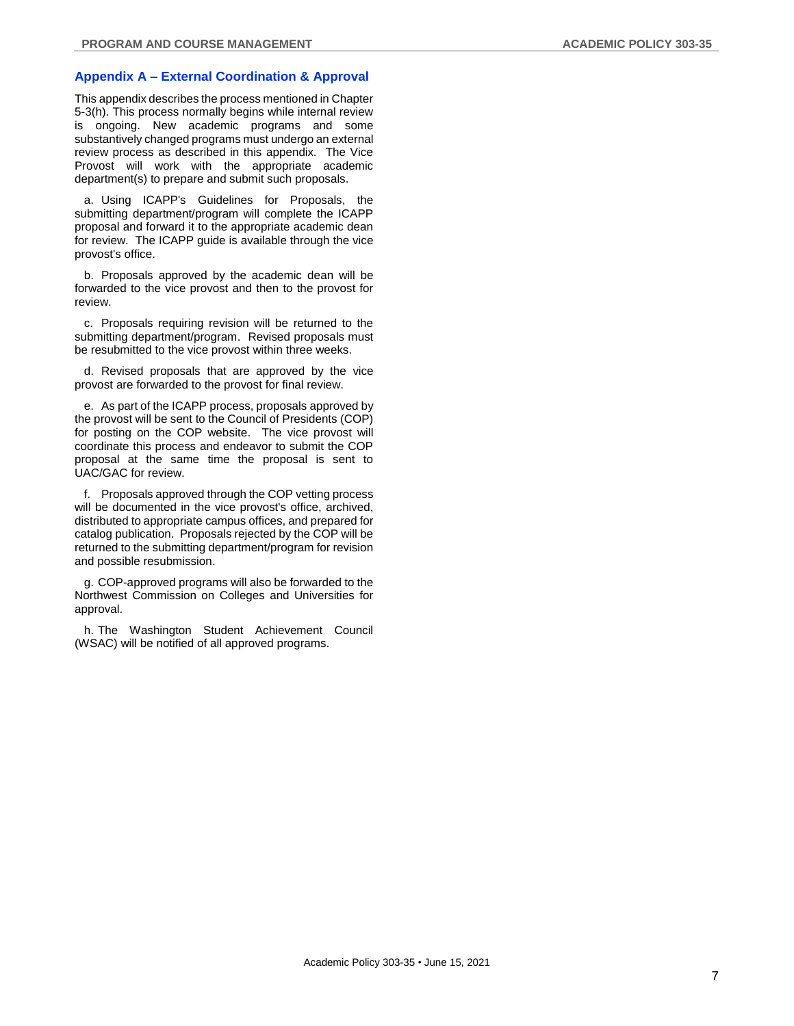# **Appendix A – External Coordination & Approval**

This appendix describes the process mentioned in Chapter 5-3(h). This process normally begins while internal review is ongoing. New academic programs and some substantively changed programs must undergo an external review process as described in this appendix. The Vice Provost will work with the appropriate academic department(s) to prepare and submit such proposals.

a. Using ICAPP's Guidelines for Proposals, the submitting department/program will complete the ICAPP proposal and forward it to the appropriate academic dean for review. The ICAPP guide is available through the vice provost's office.

b. Proposals approved by the academic dean will be forwarded to the vice provost and then to the provost for review.

c. Proposals requiring revision will be returned to the submitting department/program. Revised proposals must be resubmitted to the vice provost within three weeks.

d. Revised proposals that are approved by the vice provost are forwarded to the provost for final review.

e. As part of the ICAPP process, proposals approved by the provost will be sent to the Council of Presidents (COP) for posting on the COP website. The vice provost will coordinate this process and endeavor to submit the COP proposal at the same time the proposal is sent to UAC/GAC for review.

f. Proposals approved through the COP vetting process will be documented in the vice provost's office, archived, distributed to appropriate campus offices, and prepared for catalog publication. Proposals rejected by the COP will be returned to the submitting department/program for revision and possible resubmission.

g. COP-approved programs will also be forwarded to the Northwest Commission on Colleges and Universities for approval.

h. The Washington Student Achievement Council (WSAC) will be notified of all approved programs.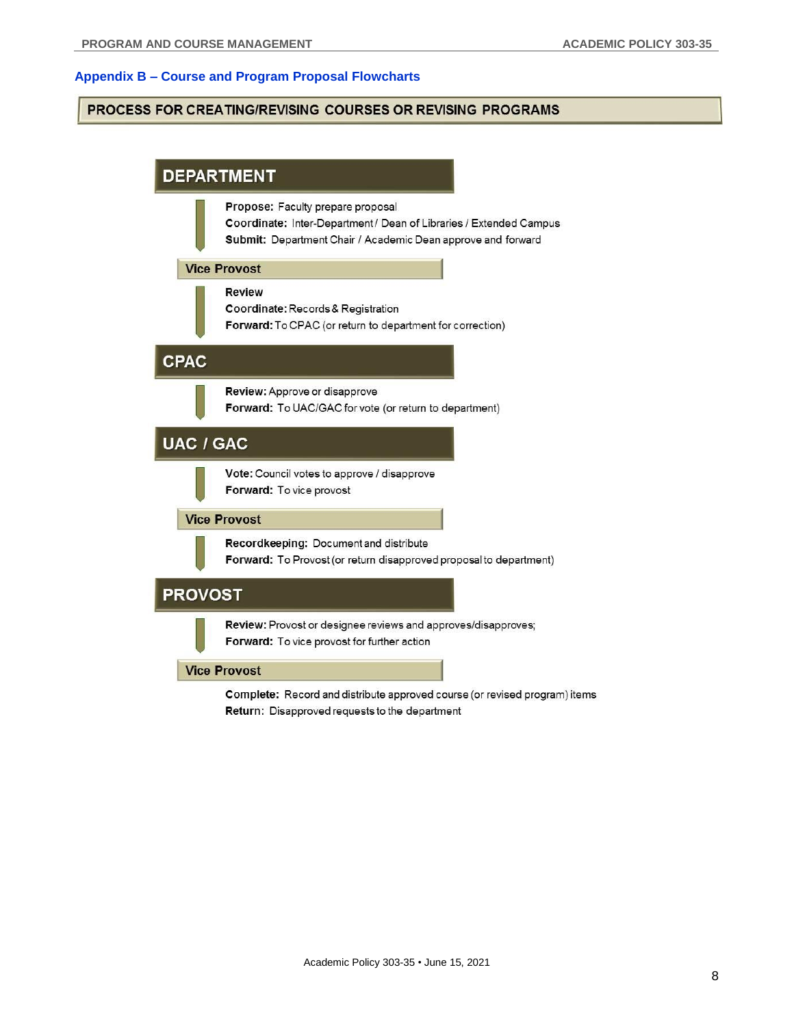# **Appendix B – Course and Program Proposal Flowcharts**

# **PROCESS FOR CREATING/REVISING COURSES OR REVISING PROGRAMS**



Return: Disapproved requests to the department